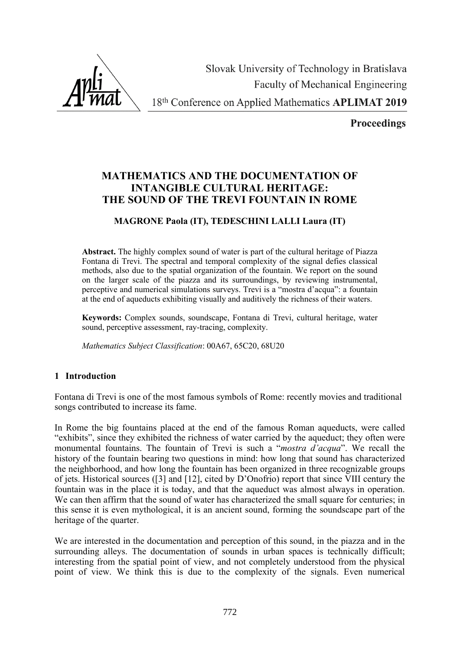Slovak University of Technology in Bratislava **Faculty of Mechanical Engineering** 18th Conference on Applied Mathematics APLIMAT 2019

**Proceedings** 

# **MATHEMATICS AND THE DOCUMENTATION OF INTANGIBLE CULTURAL HERITAGE: THE SOUND OF THE TREVI FOUNTAIN IN ROME**

## **MAGRONE Paola (IT), TEDESCHINI LALLI Laura (IT)**

**Abstract.** The highly complex sound of water is part of the cultural heritage of Piazza Fontana di Trevi. The spectral and temporal complexity of the signal defies classical methods, also due to the spatial organization of the fountain. We report on the sound on the larger scale of the piazza and its surroundings, by reviewing instrumental, perceptive and numerical simulations surveys. Trevi is a "mostra d'acqua": a fountain at the end of aqueducts exhibiting visually and auditively the richness of their waters.

**Keywords:** Complex sounds, soundscape, Fontana di Trevi, cultural heritage, water sound, perceptive assessment, ray-tracing, complexity.

*Mathematics Subject Classification*: 00A67, 65C20, 68U20

## **1 Introduction**

Fontana di Trevi is one of the most famous symbols of Rome: recently movies and traditional songs contributed to increase its fame.

In Rome the big fountains placed at the end of the famous Roman aqueducts, were called "exhibits", since they exhibited the richness of water carried by the aqueduct; they often were monumental fountains. The fountain of Trevi is such a "*mostra d'acqua*". We recall the history of the fountain bearing two questions in mind: how long that sound has characterized the neighborhood, and how long the fountain has been organized in three recognizable groups of jets. Historical sources ([3] and [12], cited by D'Onofrio) report that since VIII century the fountain was in the place it is today, and that the aqueduct was almost always in operation. We can then affirm that the sound of water has characterized the small square for centuries; in this sense it is even mythological, it is an ancient sound, forming the soundscape part of the heritage of the quarter.

We are interested in the documentation and perception of this sound, in the piazza and in the surrounding alleys. The documentation of sounds in urban spaces is technically difficult; interesting from the spatial point of view, and not completely understood from the physical point of view. We think this is due to the complexity of the signals. Even numerical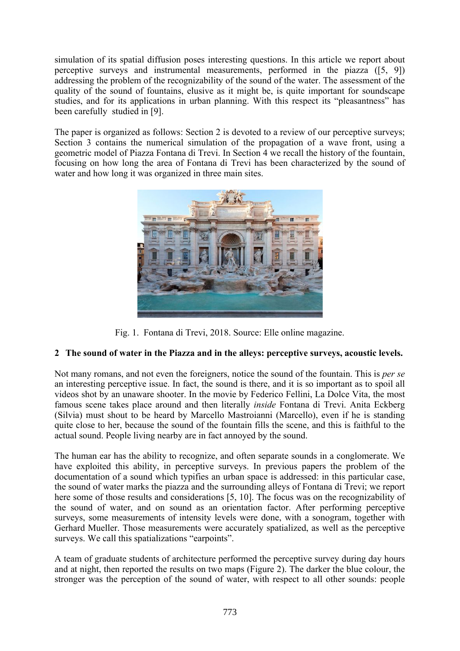simulation of its spatial diffusion poses interesting questions. In this article we report about perceptive surveys and instrumental measurements, performed in the piazza ([5, 9]) addressing the problem of the recognizability of the sound of the water. The assessment of the quality of the sound of fountains, elusive as it might be, is quite important for soundscape studies, and for its applications in urban planning. With this respect its "pleasantness" has been carefully studied in [9].

The paper is organized as follows: Section 2 is devoted to a review of our perceptive surveys; Section 3 contains the numerical simulation of the propagation of a wave front, using a geometric model of Piazza Fontana di Trevi. In Section 4 we recall the history of the fountain, focusing on how long the area of Fontana di Trevi has been characterized by the sound of water and how long it was organized in three main sites.



Fig. 1. Fontana di Trevi, 2018. Source: Elle online magazine.

## **2 The sound of water in the Piazza and in the alleys: perceptive surveys, acoustic levels.**

Not many romans, and not even the foreigners, notice the sound of the fountain. This is *per se* an interesting perceptive issue. In fact, the sound is there, and it is so important as to spoil all videos shot by an unaware shooter. In the movie by Federico Fellini, La Dolce Vita, the most famous scene takes place around and then literally *inside* Fontana di Trevi. Anita Eckberg (Silvia) must shout to be heard by Marcello Mastroianni (Marcello), even if he is standing quite close to her, because the sound of the fountain fills the scene, and this is faithful to the actual sound. People living nearby are in fact annoyed by the sound.

The human ear has the ability to recognize, and often separate sounds in a conglomerate. We have exploited this ability, in perceptive surveys. In previous papers the problem of the documentation of a sound which typifies an urban space is addressed: in this particular case, the sound of water marks the piazza and the surrounding alleys of Fontana di Trevi; we report here some of those results and considerations [5, 10]. The focus was on the recognizability of the sound of water, and on sound as an orientation factor. After performing perceptive surveys, some measurements of intensity levels were done, with a sonogram, together with Gerhard Mueller. Those measurements were accurately spatialized, as well as the perceptive surveys. We call this spatializations "earpoints".

A team of graduate students of architecture performed the perceptive survey during day hours and at night, then reported the results on two maps (Figure 2). The darker the blue colour, the stronger was the perception of the sound of water, with respect to all other sounds: people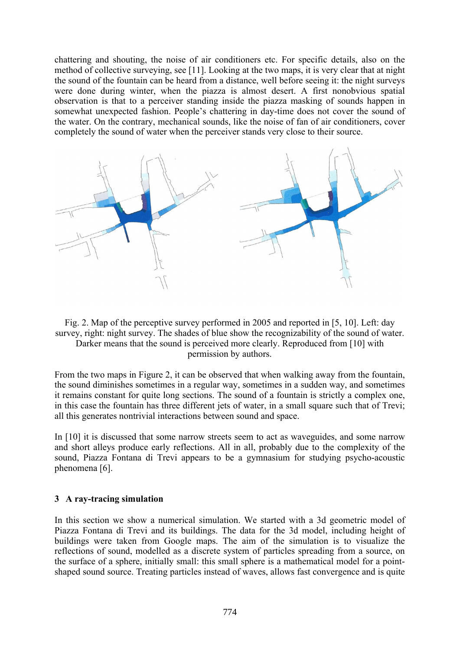chattering and shouting, the noise of air conditioners etc. For specific details, also on the method of collective surveying, see [11]. Looking at the two maps, it is very clear that at night the sound of the fountain can be heard from a distance, well before seeing it: the night surveys were done during winter, when the piazza is almost desert. A first nonobvious spatial observation is that to a perceiver standing inside the piazza masking of sounds happen in somewhat unexpected fashion. People's chattering in day-time does not cover the sound of the water. On the contrary, mechanical sounds, like the noise of fan of air conditioners, cover completely the sound of water when the perceiver stands very close to their source.





permission by authors.

From the two maps in Figure 2, it can be observed that when walking away from the fountain, the sound diminishes sometimes in a regular way, sometimes in a sudden way, and sometimes it remains constant for quite long sections. The sound of a fountain is strictly a complex one, in this case the fountain has three different jets of water, in a small square such that of Trevi; all this generates nontrivial interactions between sound and space.

In [10] it is discussed that some narrow streets seem to act as waveguides, and some narrow and short alleys produce early reflections. All in all, probably due to the complexity of the sound, Piazza Fontana di Trevi appears to be a gymnasium for studying psycho-acoustic phenomena [6].

#### **3 A ray-tracing simulation**

In this section we show a numerical simulation. We started with a 3d geometric model of Piazza Fontana di Trevi and its buildings. The data for the 3d model, including height of buildings were taken from Google maps. The aim of the simulation is to visualize the reflections of sound, modelled as a discrete system of particles spreading from a source, on the surface of a sphere, initially small: this small sphere is a mathematical model for a pointshaped sound source. Treating particles instead of waves, allows fast convergence and is quite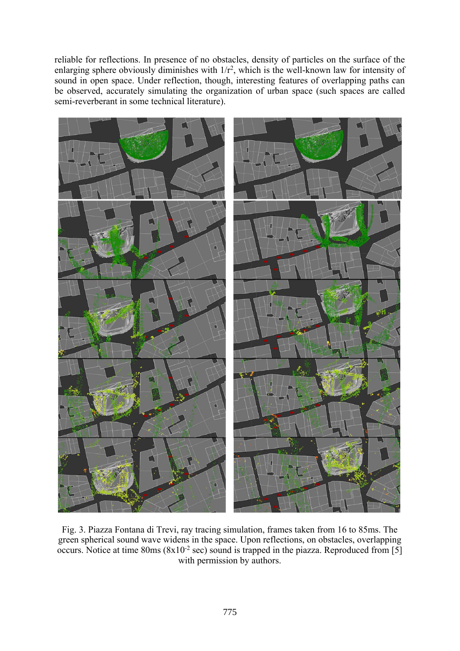reliable for reflections. In presence of no obstacles, density of particles on the surface of the enlarging sphere obviously diminishes with  $1/r^2$ , which is the well-known law for intensity of sound in open space. Under reflection, though, interesting features of overlapping paths can be observed, accurately simulating the organization of urban space (such spaces are called semi-reverberant in some technical literature).



Fig. 3. Piazza Fontana di Trevi, ray tracing simulation, frames taken from 16 to 85ms. The green spherical sound wave widens in the space. Upon reflections, on obstacles, overlapping occurs. Notice at time  $80\text{ms}$  ( $8x10^{-2}$  sec) sound is trapped in the piazza. Reproduced from [5] with permission by authors.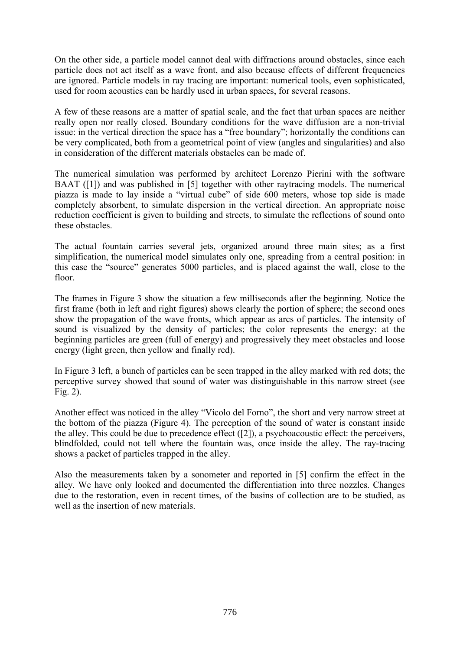On the other side, a particle model cannot deal with diffractions around obstacles, since each particle does not act itself as a wave front, and also because effects of different frequencies are ignored. Particle models in ray tracing are important: numerical tools, even sophisticated, used for room acoustics can be hardly used in urban spaces, for several reasons.

A few of these reasons are a matter of spatial scale, and the fact that urban spaces are neither really open nor really closed. Boundary conditions for the wave diffusion are a non-trivial issue: in the vertical direction the space has a "free boundary"; horizontally the conditions can be very complicated, both from a geometrical point of view (angles and singularities) and also in consideration of the different materials obstacles can be made of.

The numerical simulation was performed by architect Lorenzo Pierini with the software BAAT ([1]) and was published in [5] together with other raytracing models. The numerical piazza is made to lay inside a "virtual cube" of side 600 meters, whose top side is made completely absorbent, to simulate dispersion in the vertical direction. An appropriate noise reduction coefficient is given to building and streets, to simulate the reflections of sound onto these obstacles.

The actual fountain carries several jets, organized around three main sites; as a first simplification, the numerical model simulates only one, spreading from a central position: in this case the "source" generates 5000 particles, and is placed against the wall, close to the floor.

The frames in Figure 3 show the situation a few milliseconds after the beginning. Notice the first frame (both in left and right figures) shows clearly the portion of sphere; the second ones show the propagation of the wave fronts, which appear as arcs of particles. The intensity of sound is visualized by the density of particles; the color represents the energy: at the beginning particles are green (full of energy) and progressively they meet obstacles and loose energy (light green, then yellow and finally red).

In Figure 3 left, a bunch of particles can be seen trapped in the alley marked with red dots; the perceptive survey showed that sound of water was distinguishable in this narrow street (see Fig. 2).

Another effect was noticed in the alley "Vicolo del Forno", the short and very narrow street at the bottom of the piazza (Figure 4). The perception of the sound of water is constant inside the alley. This could be due to precedence effect ([2]), a psychoacoustic effect: the perceivers, blindfolded, could not tell where the fountain was, once inside the alley. The ray-tracing shows a packet of particles trapped in the alley.

Also the measurements taken by a sonometer and reported in [5] confirm the effect in the alley. We have only looked and documented the differentiation into three nozzles. Changes due to the restoration, even in recent times, of the basins of collection are to be studied, as well as the insertion of new materials.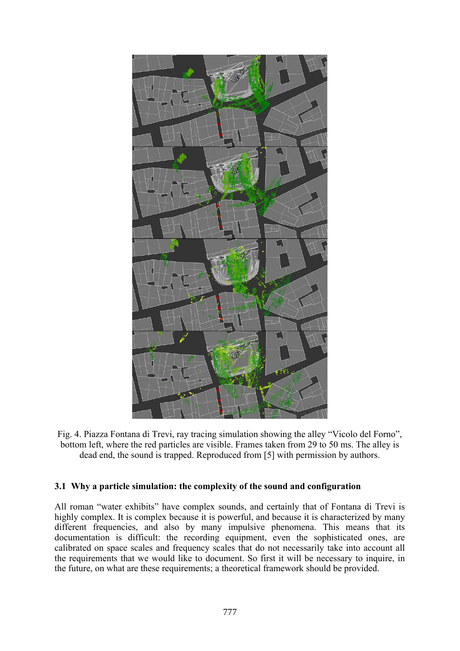

Fig. 4. Piazza Fontana di Trevi, ray tracing simulation showing the alley "Vicolo del Forno", bottom left, where the red particles are visible. Frames taken from 29 to 50 ms. The alley is dead end, the sound is trapped. Reproduced from [5] with permission by authors.

#### **3.1 Why a particle simulation: the complexity of the sound and configuration**

All roman "water exhibits" have complex sounds, and certainly that of Fontana di Trevi is highly complex. It is complex because it is powerful, and because it is characterized by many different frequencies, and also by many impulsive phenomena. This means that its documentation is difficult: the recording equipment, even the sophisticated ones, are calibrated on space scales and frequency scales that do not necessarily take into account all the requirements that we would like to document. So first it will be necessary to inquire, in the future, on what are these requirements; a theoretical framework should be provided.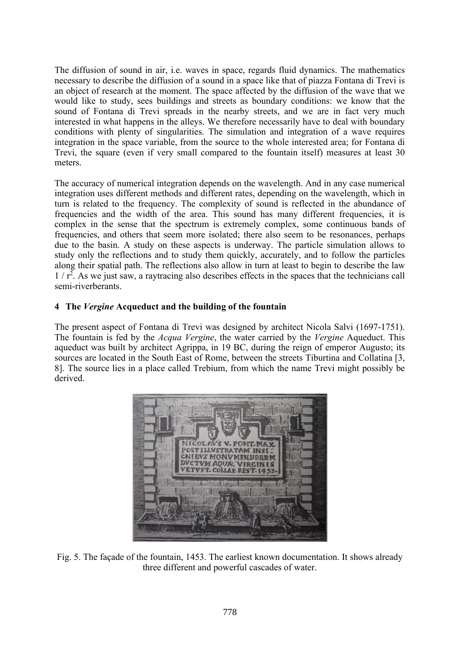The diffusion of sound in air, i.e. waves in space, regards fluid dynamics. The mathematics necessary to describe the diffusion of a sound in a space like that of piazza Fontana di Trevi is an object of research at the moment. The space affected by the diffusion of the wave that we would like to study, sees buildings and streets as boundary conditions: we know that the sound of Fontana di Trevi spreads in the nearby streets, and we are in fact very much interested in what happens in the alleys. We therefore necessarily have to deal with boundary conditions with plenty of singularities. The simulation and integration of a wave requires integration in the space variable, from the source to the whole interested area; for Fontana di Trevi, the square (even if very small compared to the fountain itself) measures at least 30 meters.

The accuracy of numerical integration depends on the wavelength. And in any case numerical integration uses different methods and different rates, depending on the wavelength, which in turn is related to the frequency. The complexity of sound is reflected in the abundance of frequencies and the width of the area. This sound has many different frequencies, it is complex in the sense that the spectrum is extremely complex, some continuous bands of frequencies, and others that seem more isolated; there also seem to be resonances, perhaps due to the basin. A study on these aspects is underway. The particle simulation allows to study only the reflections and to study them quickly, accurately, and to follow the particles along their spatial path. The reflections also allow in turn at least to begin to describe the law 1 / r<sup>2</sup>. As we just saw, a raytracing also describes effects in the spaces that the technicians call semi-riverberants.

## **4 The** *Vergine* **Acqueduct and the building of the fountain**

The present aspect of Fontana di Trevi was designed by architect Nicola Salvi (1697-1751). The fountain is fed by the *Acqua Vergine*, the water carried by the *Vergine* Aqueduct. This aqueduct was built by architect Agrippa, in 19 BC, during the reign of emperor Augusto; its sources are located in the South East of Rome, between the streets Tiburtina and Collatina [3, 8]. The source lies in a place called Trebium, from which the name Trevi might possibly be derived.



Fig. 5. The façade of the fountain, 1453. The earliest known documentation. It shows already three different and powerful cascades of water.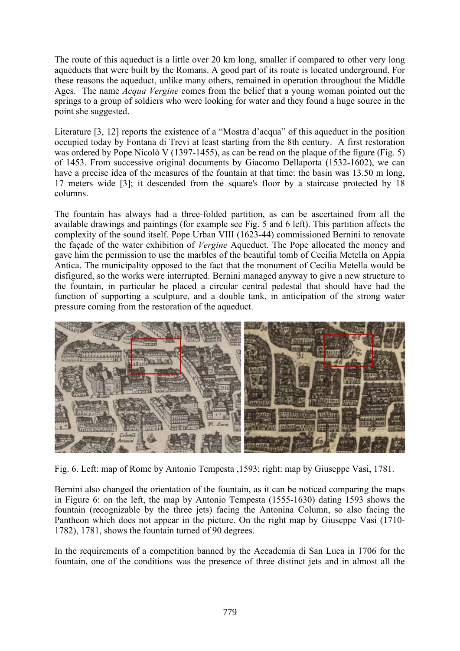The route of this aqueduct is a little over 20 km long, smaller if compared to other very long aqueducts that were built by the Romans. A good part of its route is located underground. For these reasons the aqueduct, unlike many others, remained in operation throughout the Middle Ages. The name *Acqua Vergine* comes from the belief that a young woman pointed out the springs to a group of soldiers who were looking for water and they found a huge source in the point she suggested.

Literature [3, 12] reports the existence of a "Mostra d'acqua" of this aqueduct in the position occupied today by Fontana di Trevi at least starting from the 8th century. A first restoration was ordered by Pope Nicolò V (1397-1455), as can be read on the plaque of the figure (Fig. 5) of 1453. From successive original documents by Giacomo Dellaporta (1532-1602), we can have a precise idea of the measures of the fountain at that time: the basin was 13.50 m long, 17 meters wide [3]; it descended from the square's floor by a staircase protected by 18 columns.

The fountain has always had a three-folded partition, as can be ascertained from all the available drawings and paintings (for example see Fig. 5 and 6 left). This partition affects the complexity of the sound itself. Pope Urban VIII (1623-44) commissioned Bernini to renovate the façade of the water exhibition of *Vergine* Aqueduct. The Pope allocated the money and gave him the permission to use the marbles of the beautiful tomb of Cecilia Metella on Appia Antica. The municipality opposed to the fact that the monument of Cecilia Metella would be disfigured, so the works were interrupted. Bernini managed anyway to give a new structure to the fountain, in particular he placed a circular central pedestal that should have had the function of supporting a sculpture, and a double tank, in anticipation of the strong water pressure coming from the restoration of the aqueduct.



Fig. 6. Left: map of Rome by Antonio Tempesta ,1593; right: map by Giuseppe Vasi, 1781.

Bernini also changed the orientation of the fountain, as it can be noticed comparing the maps in Figure 6: on the left, the map by Antonio Tempesta (1555-1630) dating 1593 shows the fountain (recognizable by the three jets) facing the Antonina Column, so also facing the Pantheon which does not appear in the picture. On the right map by Giuseppe Vasi (1710- 1782), 1781, shows the fountain turned of 90 degrees.

In the requirements of a competition banned by the Accademia di San Luca in 1706 for the fountain, one of the conditions was the presence of three distinct jets and in almost all the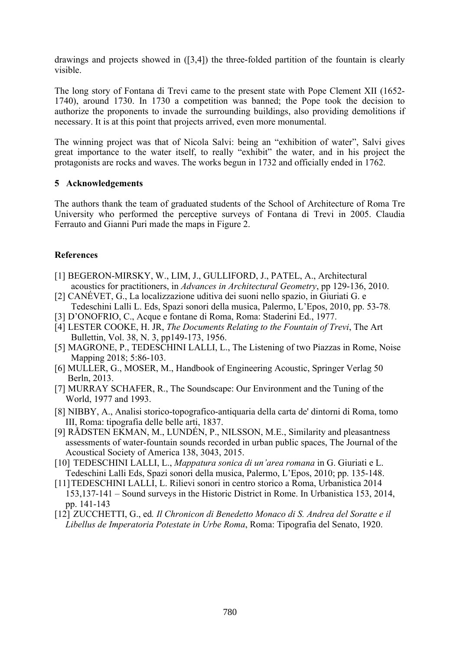drawings and projects showed in ([3,4]) the three-folded partition of the fountain is clearly visible.

The long story of Fontana di Trevi came to the present state with Pope Clement XII (1652- 1740), around 1730. In 1730 a competition was banned; the Pope took the decision to authorize the proponents to invade the surrounding buildings, also providing demolitions if necessary. It is at this point that projects arrived, even more monumental.

The winning project was that of Nicola Salvi: being an "exhibition of water", Salvi gives great importance to the water itself, to really "exhibit" the water, and in his project the protagonists are rocks and waves. The works begun in 1732 and officially ended in 1762.

#### **5 Acknowledgements**

The authors thank the team of graduated students of the School of Architecture of Roma Tre University who performed the perceptive surveys of Fontana di Trevi in 2005. Claudia Ferrauto and Gianni Puri made the maps in Figure 2.

## **References**

- [1] BEGERON-MIRSKY, W., LIM, J., GULLIFORD, J., PATEL, A., Architectural acoustics for practitioners, in *Advances in Architectural Geometry*, pp 129-136, 2010.
- [2] CANÉVET, G., La localizzazione uditiva dei suoni nello spazio, in Giuriati G. e Tedeschini Lalli L. Eds, Spazi sonori della musica, Palermo, L'Epos, 2010, pp. 53-78.
- [3] D'ONOFRIO, C., Acque e fontane di Roma, Roma: Staderini Ed., 1977.
- [4] LESTER COOKE, H. JR, *The Documents Relating to the Fountain of Trevi*, The Art Bullettin, Vol. 38, N. 3, pp149-173, 1956.
- [5] MAGRONE, P., TEDESCHINI LALLI, L., The Listening of two Piazzas in Rome, Noise Mapping 2018; 5:86-103.
- [6] MULLER, G., MOSER, M., Handbook of Engineering Acoustic, Springer Verlag 50 Berln, 2013.
- [7] MURRAY SCHAFER, R., The Soundscape: Our Environment and the Tuning of the World, 1977 and 1993.
- [8] NIBBY, A., Analisi storico-topografico-antiquaria della carta de' dintorni di Roma, tomo III, Roma: tipografia delle belle arti, 1837.
- [9] RÅDSTEN EKMAN, M., LUNDÉN, P., NILSSON, M.E., Similarity and pleasantness assessments of water-fountain sounds recorded in urban public spaces, The Journal of the Acoustical Society of America 138, 3043, 2015.
- [10] TEDESCHINI LALLI, L., *Mappatura sonica di un'area romana* in G. Giuriati e L. Tedeschini Lalli Eds, Spazi sonori della musica, Palermo, L'Epos, 2010; pp. 135-148.
- [11]TEDESCHINI LALLI, L. Rilievi sonori in centro storico a Roma, Urbanistica 2014 153,137-141 – Sound surveys in the Historic District in Rome. In Urbanistica 153, 2014, pp. 141-143
- [12] ZUCCHETTI, G., ed*. Il Chronicon di Benedetto Monaco di S. Andrea del Soratte e il Libellus de Imperatoria Potestate in Urbe Roma*, Roma: Tipografia del Senato, 1920.